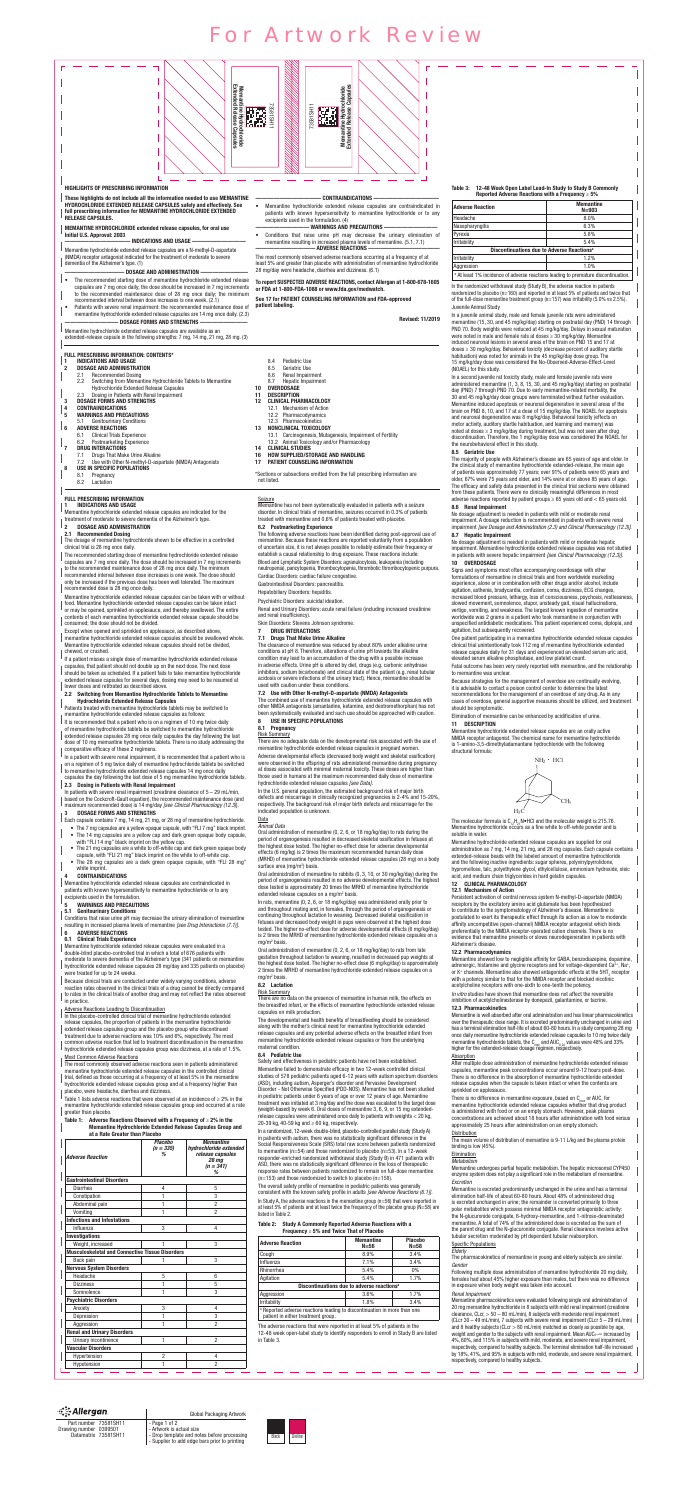

| ंै: Allergan                                    | Global Packaging Artwork                                                                     |       |
|-------------------------------------------------|----------------------------------------------------------------------------------------------|-------|
| Part number 73581SH11<br>Drawing number 0399501 | - Page 1 of 2<br>- Artwork is actual size                                                    |       |
| Datamatrix 73581SH11                            | - Drop template and notes before processing<br>- Supplier to add edge bars prior to printing | Black |

## 2 DOSAGE AND ADMINISTRATION

#### 2.1 Recommended Dosing

The dosage of memantine hydrochloride shown to be effective in a controlled clinical trial is 28 mg once daily.

The recommended starting dose of memantine hydrochloride extended release capsules are 7 mg once daily. The dose should be increased in 7 mg increments to the recommended maintenance dose of 28 mg once daily. The minimum recommended interval between dose increases is one week. The dose should only be increased if the previous dose has been well tolerated. The maximum

recommended dose is 28 mg once daily. Memantine hydrochloride extended release capsules can be taken with or without food. Memantine hydrochloride extended release capsules can be taken intact

It is recommended that a patient who is on a regimen of 10 mg twice daily of memantine hydrochloride tablets be switched to memantine hydrochloride extended release capsules 28 mg once daily capsules the day following the last dose of 10 mg memantine hydrochloride tablets. There is no study addressing the comparative efficacy of these 2 regimens.

or may be opened, sprinkled on applesauce, and thereby swallowed. The entire contents of each memantine hydrochloride extended release capsule should be consumed; the dose should not be divided.

Except when opened and sprinkled on applesauce, as described above, memantine hydrochloride extended release capsules should be swallowed whole. Memantine hydrochloride extended release capsules should not be divided, chewed, or crushed.

In patients with severe renal impairment (creatinine clearance of  $5 - 29$  mL/min, based on the Cockcroft-Gault equation), the recommended maintenance dose (and maximum recommended dose) is 14 mg/day *[see Clinical Pharmacology (12.3)*].

## DOSAGE FORMS AND STRENGTHS

If a patient misses a single dose of memantine hydrochloride extended release capsules, that patient should not double up on the next dose. The next dose should be taken as scheduled. If a patient fails to take memantine hydrochloride extended release capsules for several days, dosing may need to be resumed at lower doses and retitrated as described above.

#### 2.2 Switching from Memantine Hydrochloride Tablets to Memantine Hydrochloride Extended Release Capsules

Patients treated with memantine hydrochloride tablets may be switched to memantine hydrochloride extended release capsules as follows:

In a patient with severe renal impairment, it is recommended that a patient who is on a regimen of 5 mg twice daily of memantine hydrochloride tablets be switched to memantine hydrochloride extended release capsules 14 mg once daily capsules the day following the last dose of 5 mg memantine hydrochloride tablets.

Table 1 lists adverse reactions that were observed at an incidence of  $\geq 2\%$  in the memantine hydrochloride extended release capsules group and occurred at a rate greater than placebo.

#### 2.3 Dosing in Patients with Renal Impairment

#### Table 1: Adverse Reactions Observed with a Frequency of  $\geq 2\%$  in the Memantine Hydrochloride Extended Release Capsules Group and at a Rate Greater than Placebo

- Each capsule contains 7 mg, 14 mg, 21 mg, or 28 mg of memantine hydrochloride.
- The 7 mg capsules are a yellow opaque capsule, with "FLI 7 mg" black imprint. • The 14 mg capsules are a yellow cap and dark green opaque body capsule,
- with "FLI 14 mg" black imprint on the yellow cap. • The 21 mg capsules are a white to off-white cap and dark green opaque body capsule, with "FLI 21 mg" black imprint on the white to off-white cap.
- The 28 mg capsules are a dark green opaque capsule, with "FLI 28 mg"
- white imprint.

## **CONTRAINDICATIONS**

- DRUG INTERACTIONS
- 7.1 Drugs That Make Urine Alkaline

Memantine hydrochloride extended release capsules are contraindicated in patients with known hypersensitivity to memantine hydrochloride or to any excipients used in the formulation.

## 5 WARNINGS AND PRECAUTIONS

#### 5.1 Genitourinary Conditions

Conditions that raise urine pH may decrease the urinary elimination of memantine resulting in increased plasma levels of memantine *[see Drug Interactions (7.1)]*.

## 6 ADVERSE REACTIONS

6.1 Clinical Trials Experience

Memantine hydrochloride extended release capsules were evaluated in a double-blind placebo-controlled trial in which a total of 676 patients with

moderate to severe dementia of the Alzheimer's type (341 patients on memantine hydrochloride extended release capsules 28 mg/day and 335 patients on placebo) were treated for up to 24 weeks.

In the U.S. general population, the estimated background risk of major birth defects and miscarriage in clinically recognized pregnancies is 2-4% and 15-20%, respectively. The background risk of major birth defects and miscarriage for the indicated population is unknown.

#### **Data** *Animal Data*

Oral administration of memantine (0, 2, 6, or 18 mg/kg/day) to rats during the period of organogenesis resulted in decreased skeletal ossification in fetuses at the highest dose tested. The higher no-effect dose for adverse developmental effects (6 mg/kg) is 2 times the maximum recommended human daily dose (MRHD) of memantine hydrochloride extended release capsules (28 mg) on a body surface area (mg/m<sup>2</sup>) basis.

Because clinical trials are conducted under widely varying conditions, adverse reaction rates observed in the clinical trials of a drug cannot be directly compared to rates in the clinical trials of another drug and may not reflect the rates observed

#### in practice.

#### Adverse Reactions Leading to Discontinuation

Oral administration of memantine to rabbits (0, 3, 10, or 30 mg/kg/day) during the period of organogenesis resulted in no adverse developmental effects. The highest dose tested is approximately 20 times the MRHD of memantine hydrochloride extended release capsules on a mg/m<sup>2</sup> basis.

In the placebo-controlled clinical trial of memantine hydrochloride extended release capsules, the proportion of patients in the memantine hydrochloride extended release capsules group and the placebo group who discontinued treatment due to adverse reactions was 10% and 6%, respectively. The most common adverse reaction that led to treatment discontinuation in the memantine hydrochloride extended release capsules group was dizziness, at a rate of 1.5%.

Oral administration of memantine (0, 2, 6, or 18 mg/kg/day) to rats from late gestation throughout lactation to weaning, resulted in decreased pup weights at the highest dose tested. The higher no-effect dose (6 mg/kg/day) is approximately 2 times the MRHD of memantine hydrochloride extended release capsules on a mg/m<sup>2</sup> basis.

#### Most Common Adverse Reactions

The most commonly observed adverse reactions seen in patients administered memantine hydrochloride extended release capsules in the controlled clinical trial, defined as those occurring at a frequency of at least 5% in the memantine hydrochloride extended release capsules group and at a frequency higher than placebo, were headache, diarrhea and dizziness.

Memantine failed to demonstrate efficacy in two 12-week controlled clinical studies of 578 pediatric patients aged 6-12 years with autism spectrum disorders (ASD), including autism, Asperger's disorder and Pervasive Development Disorder - Not Otherwise Specified (PDD-NOS). Memantine has not been studied in pediatric patients under 6 years of age or over 12 years of age. Memantine treatment was initiated at 3 mg/day and the dose was escalated to the target dose (weight-based) by week 6. Oral doses of memantine 3, 6, 9, or 15 mg extendedrelease capsules were administered once daily to patients with weights < 20 kg, 20-39 kg, 40-59 kg and  $\geq 60$  kg, respectively.

In a randomized, 12-week double-blind, placebo-controlled parallel study (Study A) in patients with autism, there was no statistically significant difference in the Social Responsiveness Scale (SRS) total raw score between patients randomized to memantine (n=54) and those randomized to placebo (n=53). In a 12-week responder-enriched randomized withdrawal study (Study B) in 471 patients with ASD, there was no statistically significant difference in the loss of therapeutic response rates between patients randomized to remain on full-dose memantine  $(n=153)$  and those randomized to switch to placebo  $(n=158)$ .

| <b>Adverse Reaction</b>                                | <b>Placebo</b><br>$(n = 335)$<br>℅ | <b>Memantine</b><br>hydrochloride extended<br>release capsules<br><b>28 mg</b><br>$(n = 341)$<br>% |
|--------------------------------------------------------|------------------------------------|----------------------------------------------------------------------------------------------------|
| <b>Gastrointestinal Disorders</b>                      |                                    |                                                                                                    |
| Diarrhea                                               | 4                                  | 5                                                                                                  |
| Constipation                                           | 1                                  | 3                                                                                                  |
| Abdominal pain                                         | 1                                  | $\overline{2}$                                                                                     |
| Vomiting                                               | 1                                  | $\overline{2}$                                                                                     |
| <b>Infections and Infestations</b>                     |                                    |                                                                                                    |
| Influenza                                              | 3                                  | 4                                                                                                  |
| Investigations                                         |                                    |                                                                                                    |
| Weight, increased                                      | 1                                  | 3                                                                                                  |
| <b>Musculoskeletal and Connective Tissue Disorders</b> |                                    |                                                                                                    |
| Back pain                                              |                                    | 3                                                                                                  |
| <b>Nervous System Disorders</b>                        |                                    |                                                                                                    |
| Headache                                               | 5                                  | 6                                                                                                  |
| <b>Dizziness</b>                                       | 1                                  | 5                                                                                                  |
| Somnolence                                             | 1                                  | 3                                                                                                  |
| <b>Psychiatric Disorders</b>                           |                                    |                                                                                                    |
| Anxiety                                                | 3                                  | 4                                                                                                  |
| Depression                                             | 1                                  | 3                                                                                                  |
| Aggression                                             | 1                                  | 2                                                                                                  |
| <b>Renal and Urinary Disorders</b>                     |                                    |                                                                                                    |
|                                                        |                                    |                                                                                                    |

treated with memantine and 0.6% of patients treated with placebo.

#### 6.2 Postmarketing Experience

The following adverse reactions have been identified during post-approval use of memantine. Because these reactions are reported voluntarily from a population of uncertain size, it is not always possible to reliably estimate their frequency or establish a causal relationship to drug exposure. These reactions include: Blood and Lymphatic System Disorders: agranulocytosis, leukopenia (including neutropenia), pancytopenia, thrombocytopenia, thrombotic thrombocytopenic purpura.

Cardiac Disorders: cardiac failure congestive.

Gastrointestinal Disorders: pancreatitis.

Hepatobiliary Disorders: hepatitis.

## Psychiatric Disorders: suicidal ideation.

Renal and Urinary Disorders: acute renal failure (including increased creatinine and renal insufficiency).

Skin Disorders: Stevens Johnson syndrome.

The clearance of memantine was reduced by about 80% under alkaline urine conditions at pH 8. Therefore, alterations of urine pH towards the alkaline condition may lead to an accumulation of the drug with a possible increase in adverse effects. Urine pH is altered by diet, drugs (e.g. carbonic anhydrase

| <b>Adverse Reaction</b>                                                            | <b>Memantine</b><br>$N = 903$ |  |  |
|------------------------------------------------------------------------------------|-------------------------------|--|--|
| Headache                                                                           | 8.0%                          |  |  |
| Nasopharyngitis                                                                    | 6.3%                          |  |  |
| Pyrexia                                                                            | 5.8%                          |  |  |
| Irritability                                                                       | 5.4%                          |  |  |
| Discontinuations due to Adverse Reactions <sup>a</sup>                             |                               |  |  |
| Irritability                                                                       | 1.2%                          |  |  |
| Aggression                                                                         | 1.0%                          |  |  |
| a At least 1% incidence of adverse reactions leading to premature discontinuation. |                               |  |  |

inhibitors, sodium bicarbonate) and clinical state of the patient (e.g. renal tubular acidosis or severe infections of the urinary tract). Hence, memantine should be used with caution under these conditions.

#### 7.2 Use with Other N-methyl-D-aspartate (NMDA) Antagonists

The combined use of memantine hydrochloride extended release capsules with other NMDA antagonists (amantadine, ketamine, and dextromethorphan) has not been systematically evaluated and such use should be approached with caution.

#### 8 USE IN SPECIFIC POPULATIONS

## 8.1 Pregnancy

Risk Summary

There are no adequate data on the developmental risk associated with the use of memantine hydrochloride extended release capsules in pregnant women.

Adverse developmental effects (decreased body weight and skeletal ossification) were observed in the offspring of rats administered memantine during pregnancy at doses associated with minimal maternal toxicity. These doses are higher than those used in humans at the maximum recommended daily dose of memantine hydrochloride extended release capsules *[see Data]*.

> Memantine is well absorbed after oral administration and has linear pharmacokinetics over the therapeutic dose range. It is excreted predominantly unchanged in urine and has a terminal elimination half-life of about 60-80 hours. In a study comparing 28 mg once daily memantine hydrochloride extended release capsules to 10 mg twice daily memantine hydrochloride tablets, the  $C_{\text{max}}$  and AUC<sub>0-24</sub> values were 48% and 33% higher for the extended-release dosage regimen, respectively.

#### **Absorption**

In rats, memantine (0, 2, 6, or 18 mg/kg/day) was administered orally prior to and throughout mating and, in females, through the period of organogenesis or continuing throughout lactation to weaning. Decreased skeletal ossification in fetuses and decreased body weight in pups were observed at the highest dose tested. The higher no-effect dose for adverse developmental effects (6 mg/kg/day) is 2 times the MRHD of memantine hydrochloride extended release capsules on a mg/m2 basis.

> There is no difference in memantine exposure, based on  $C_{\text{max}}$  or AUC, for memantine hydrochloride extended release capsules whether that drug product is administered with food or on an empty stomach. However, peak plasma concentrations are achieved about 18 hours after administration with food versus approximately 25 hours after administration on an empty stomach.

# **Distribution**

The mean volume of distribution of memantine is 9-11 L/kg and the plasma protein binding is low (45%).

#### **Elimination** *Metabolism*

#### 8.2 Lactation

#### Risk Summary

There are no data on the presence of memantine in human milk, the effects on the breastfed infant, or the effects of memantine hydrochloride extended release capsules on milk production.

The developmental and health benefits of breastfeeding should be considered along with the mother's clinical need for memantine hydrochloride extended release capsules and any potential adverse effects on the breastfed infant from memantine hydrochloride extended release capsules or from the underlying maternal condition.

> Memantine pharmacokinetics were evaluated following single oral administration of 20 mg memantine hydrochloride in 8 subjects with mild renal impairment (creatinine clearance,  $C_{\text{Lc}}$ r,  $> 50 - 80$  mL/min), 8 subjects with moderate renal impairment (CLcr 30 – 49 mL/min), 7 subjects with severe renal impairment (CLcr 5 – 29 mL/min) and 8 healthy subjects (CLcr  $> 80$  mL/min) matched as closely as possible by age, weight and gender to the subjects with renal impairment. Mean  $AUC_{0}$ - $\infty$  increased by

#### 8.4 Pediatric Use

Safety and effectiveness in pediatric patients have not been established.

The overall safety profile of memantine in pediatric patients was generally consistent with the known safety profile in adults *[see Adverse Reactions (6.1)]*. In Study A, the adverse reactions in the memantine group (n=56) that were reported in at least 5% of patients and at least twice the frequency of the placebo group (N=58) are listed in Table 2.

#### Table 2: Study A Commonly Reported Adverse Reactions with a

#### Frequency ≥ 5% and Twice That of Placebo

| <b>Adverse Reaction</b>                                                             | <b>Memantine</b><br>$N = 56$                           | <b>Placebo</b><br>$N = 58$ |
|-------------------------------------------------------------------------------------|--------------------------------------------------------|----------------------------|
| Cough                                                                               | 8.9%                                                   | 3.4%                       |
| Influenza                                                                           | 7.1%                                                   | 3.4%                       |
| Rhinorrhea                                                                          | 5.4%                                                   | 0%                         |
| Agitation                                                                           | 5.4%                                                   | 1.7%                       |
|                                                                                     | Discontinuations due to adverse reactions <sup>a</sup> |                            |
| Aggression                                                                          | 3.6%                                                   | 1.7%                       |
| Irritability                                                                        | 1.8%                                                   | 3.4%                       |
| <sup>a</sup> Reported adverse reactions leading to discontinuation in more than one |                                                        |                            |

patient in either treatment group.

The adverse reactions that were reported in at least 5% of patients in the 12-48 week open-label study to identify responders to enroll in Study B are listed



| Urinary incontinence |  | in Table 5. | 4%, 60%, and 115% in subjects with mild, moderate, and severe renal impairment,          |
|----------------------|--|-------------|------------------------------------------------------------------------------------------|
| Vascular Disorders   |  |             | respectively, compared to healthy subjects. The terminal elimination half-life increased |
| Hvpertension         |  |             | by 18%, 41%, and 95% in subjects with mild, moderate, and severe renal impairment,       |
| vpotension           |  |             | respectively, compared to healthy subjects.                                              |
|                      |  |             |                                                                                          |

impairment. A dosage reduction is recommended in patients with severe renal impairment *[see Dosage and Administration (2.3) and Clinical Pharmacology (12.3)]*. 8.7 Hepatic Impairment

No dosage adjustment is needed in patients with mild or moderate hepatic impairment. Memantine hydrochloride extended release capsules was not studied in patients with severe hepatic impairment *[see Clinical Pharmacology (12.3)]*. 10 OVERDOSAGE

Signs and symptoms most often accompanying overdosage with other formulations of memantine in clinical trials and from worldwide marketing experience, alone or in combination with other drugs and/or alcohol, include agitation, asthenia, bradycardia, confusion, coma, dizziness, ECG changes, increased blood pressure, lethargy, loss of consciousness, psychosis, restlessness, slowed movement, somnolence, stupor, unsteady gait, visual hallucinations, vertigo, vomiting, and weakness. The largest known ingestion of memantine worldwide was 2 grams in a patient who took memantine in conjunction with unspecified antidiabetic medications. This patient experienced coma, diplopia, and agitation, but subsequently recovered.

One patient participating in a memantine hydrochloride extended release capsules clinical trial unintentionally took 112 mg of memantine hydrochloride extended release capsules daily for 31 days and experienced an elevated serum uric acid, elevated serum alkaline phosphatase, and low platelet count.

Fatal outcome has been very rarely reported with memantine, and the relationship

to memantine was unclear.

Because strategies for the management of overdose are continually evolving, it is advisable to contact a poison control center to determine the latest recommendations for the management of an overdose of any drug. As in any cases of overdose, general supportive measures should be utilized, and treatment should be symptomatic.

Elimination of memantine can be enhanced by acidification of urine.

#### 11 DESCRIPTION

Memantine hydrochloride extended release capsules are an orally active NMDA receptor antagonist. The chemical name for memantine hydrochloride is 1-amino-3,5-dimethyladamantane hydrochloride with the following structural formula:



The molecular formula is  $C_{12}H_{21}N\bullet HCl$  and the molecular weight is 215.76. Memantine hydrochloride occurs as a fine white to off-white powder and is soluble in water

Memantine hydrochloride extended release capsules are supplied for oral administration as 7 mg, 14 mg, 21 mg, and 28 mg capsules. Each capsule contains extended-release beads with the labeled amount of memantine hydrochloride and the following inactive ingredients: sugar spheres, polyvinylpyrrolidone, hypromellose, talc, polyethylene glycol, ethylcellulose, ammonium hydroxide, oleic acid, and medium chain triglycerides in hard gelatin capsules.

#### 12 CLINICAL PHARMACOLOGY 12.1 Mechanism of Action

Persistent activation of central nervous system N-methyl-D-aspartate (NMDA) receptors by the excitatory amino acid glutamate has been hypothesized to contribute to the symptomatology of Alzheimer's disease. Memantine is postulated to exert its therapeutic effect through its action as a low to moderate affinity uncompetitive (open-channel) NMDA receptor antagonist which binds

preferentially to the NMDA receptor-operated cation channels. There is no evidence that memantine prevents or slows neurodegeneration in patients with Alzheimer's disease.

#### 12.2 Pharmacodynamics

Memantine showed low to negligible affinity for GABA, benzodiazepine, dopamine, adrenergic, histamine and glycine receptors and for voltage-dependent Ca<sup>2+</sup>, Na<sup>+</sup>, or K<sup>+</sup> channels. Memantine also showed antagonistic effects at the 5HT<sub>3</sub> receptor with a potency similar to that for the NMDA receptor and blocked nicotinic acetylcholine receptors with one-sixth to one-tenth the potency.

*In vitro* studies have shown that memantine does not affect the reversible inhibition of acetylcholinesterase by donepezil, galantamine, or tacrine.

## 12.3 Pharmacokinetics

After multiple dose administration of memantine hydrochloride extended release capsules, memantine peak concentrations occur around 9-12 hours post-dose. There is no difference in the absorption of memantine hydrochloride extended release capsules when the capsule is taken intact or when the contents are sprinkled on applesauce.

Memantine undergoes partial hepatic metabolism. The hepatic microsomal CYP450 enzyme system does not play a significant role in the metabolism of memantine.

## *Excretion*

Memantine is excreted predominantly unchanged in the urine and has a terminal elimination half-life of about 60-80 hours. About 48% of administered drug is excreted unchanged in urine; the remainder is converted primarily to three polar metabolites which possess minimal NMDA receptor antagonistic activity: the N-glucuronide conjugate, 6-hydroxy-memantine, and 1-nitroso-deaminated memantine. A total of 74% of the administered dose is excreted as the sum of the parent drug and the N-glucuronide conjugate. Renal clearance involves active tubular secretion moderated by pH dependent tubular reabsorption.

#### Specific Populations *Elderly*

The pharmacokinetics of memantine in young and elderly subjects are similar. *Gender*

Following multiple dose administration of memantine hydrochloride 20 mg daily, females had about 45% higher exposure than males, but there was no difference in exposure when body weight was taken into account.

*Renal Impairment*

# For Artwork Review